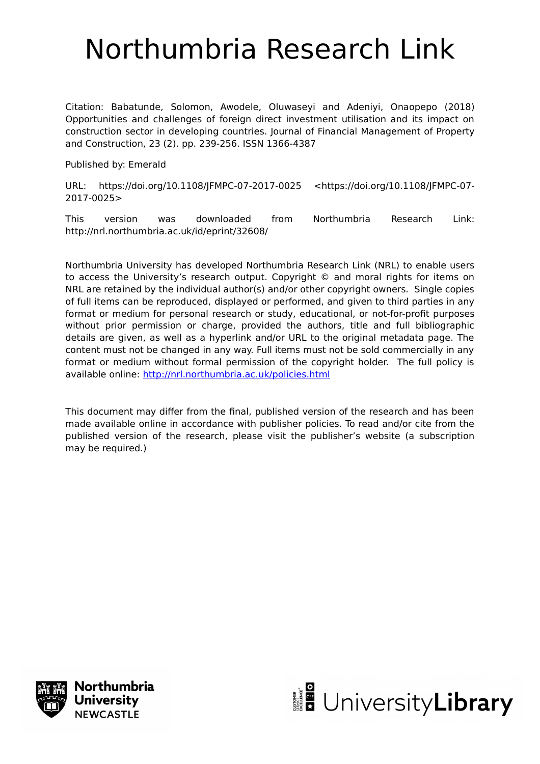# Northumbria Research Link

Citation: Babatunde, Solomon, Awodele, Oluwaseyi and Adeniyi, Onaopepo (2018) Opportunities and challenges of foreign direct investment utilisation and its impact on construction sector in developing countries. Journal of Financial Management of Property and Construction, 23 (2). pp. 239-256. ISSN 1366-4387

Published by: Emerald

URL: https://doi.org/10.1108/JFMPC-07-2017-0025 <https://doi.org/10.1108/JFMPC-07- 2017-0025>

This version was downloaded from Northumbria Research Link: http://nrl.northumbria.ac.uk/id/eprint/32608/

Northumbria University has developed Northumbria Research Link (NRL) to enable users to access the University's research output. Copyright © and moral rights for items on NRL are retained by the individual author(s) and/or other copyright owners. Single copies of full items can be reproduced, displayed or performed, and given to third parties in any format or medium for personal research or study, educational, or not-for-profit purposes without prior permission or charge, provided the authors, title and full bibliographic details are given, as well as a hyperlink and/or URL to the original metadata page. The content must not be changed in any way. Full items must not be sold commercially in any format or medium without formal permission of the copyright holder. The full policy is available online:<http://nrl.northumbria.ac.uk/policies.html>

This document may differ from the final, published version of the research and has been made available online in accordance with publisher policies. To read and/or cite from the published version of the research, please visit the publisher's website (a subscription may be required.)



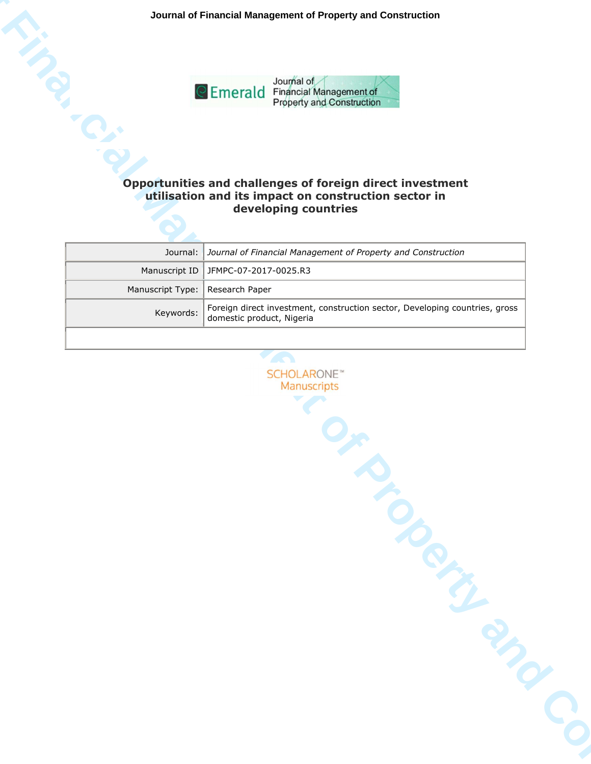**Journal of Financial Management of Property and Construction**



# **utilisation and its impact on construction sector in developing countries**

|                  | Journal of<br><b>Emerald Financial Management of</b>                                                                                                                                                                                 |
|------------------|--------------------------------------------------------------------------------------------------------------------------------------------------------------------------------------------------------------------------------------|
|                  | <b>Property and Construction</b>                                                                                                                                                                                                     |
|                  |                                                                                                                                                                                                                                      |
|                  |                                                                                                                                                                                                                                      |
|                  | Opportunities and challenges of foreign direct investment<br>utilisation and its impact on construction sector in                                                                                                                    |
|                  | developing countries                                                                                                                                                                                                                 |
|                  |                                                                                                                                                                                                                                      |
| Journal:         | Journal of Financial Management of Property and Construction                                                                                                                                                                         |
| Manuscript ID    | JFMPC-07-2017-0025.R3                                                                                                                                                                                                                |
| Manuscript Type: | Research Paper                                                                                                                                                                                                                       |
| Keywords:        | Foreign direct investment, construction sector, Developing countries, gross<br>domestic product, Nigeria                                                                                                                             |
|                  |                                                                                                                                                                                                                                      |
|                  |                                                                                                                                                                                                                                      |
|                  | <b>SCHOLARONE™</b><br>Manuscripts                                                                                                                                                                                                    |
|                  |                                                                                                                                                                                                                                      |
|                  |                                                                                                                                                                                                                                      |
|                  |                                                                                                                                                                                                                                      |
|                  | <b>Contract of the Contract of the Contract of The Contract of The Contract of The Contract of The Contract of The Contract of The Contract of The Contract of The Contract of The Contract of The Contract of The Contract of T</b> |
|                  |                                                                                                                                                                                                                                      |
|                  |                                                                                                                                                                                                                                      |
|                  |                                                                                                                                                                                                                                      |
|                  |                                                                                                                                                                                                                                      |
|                  |                                                                                                                                                                                                                                      |
|                  |                                                                                                                                                                                                                                      |
|                  |                                                                                                                                                                                                                                      |
|                  |                                                                                                                                                                                                                                      |
|                  |                                                                                                                                                                                                                                      |
|                  |                                                                                                                                                                                                                                      |
|                  |                                                                                                                                                                                                                                      |
|                  |                                                                                                                                                                                                                                      |
|                  |                                                                                                                                                                                                                                      |
|                  |                                                                                                                                                                                                                                      |
|                  | <b>Prompton</b>                                                                                                                                                                                                                      |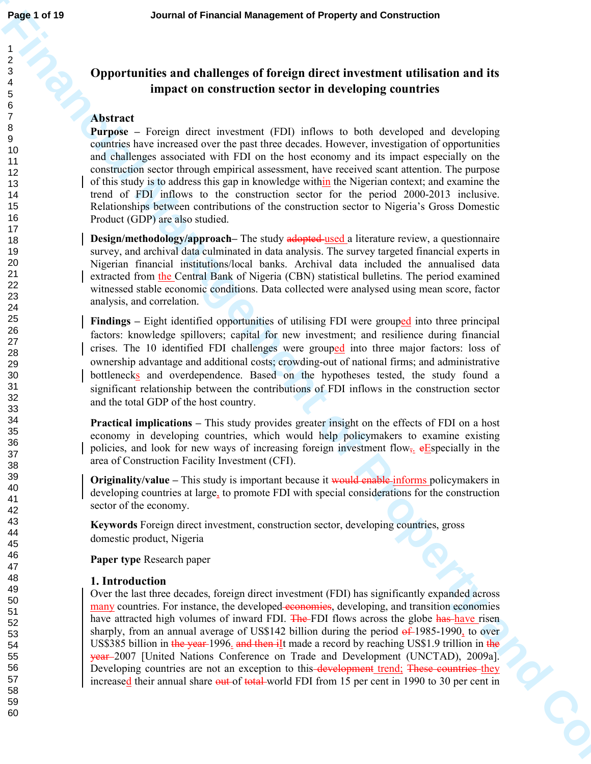# **Opportunities and challenges of foreign direct investment utilisation and its impact on construction sector in developing countries**

# **Abstract**

**Page 1 of 19**<br> **Journal of Financial Management of Property and Construction<br>
1 construction and distinguished in the construction vector in developing evantation and its<br>
1 construction terms in the state of the constru Purpose –** Foreign direct investment (FDI) inflows to both developed and developing countries have increased over the past three decades. However, investigation of opportunities and challenges associated with FDI on the host economy and its impact especially on the construction sector through empirical assessment, have received scant attention. The purpose of this study is to address this gap in knowledge within the Nigerian context; and examine the trend of FDI inflows to the construction sector for the period 2000-2013 inclusive. Relationships between contributions of the construction sector to Nigeria's Gross Domestic Product (GDP) are also studied.

**Design/methodology/approach–** The study adopted-used a literature review, a questionnaire survey, and archival data culminated in data analysis. The survey targeted financial experts in Nigerian financial institutions/local banks. Archival data included the annualised data extracted from the Central Bank of Nigeria (CBN) statistical bulletins. The period examined witnessed stable economic conditions. Data collected were analysed using mean score, factor analysis, and correlation.

**Findings –** Eight identified opportunities of utilising FDI were grouped into three principal factors: knowledge spillovers; capital for new investment; and resilience during financial crises. The 10 identified FDI challenges were grouped into three major factors: loss of ownership advantage and additional costs; crowding-out of national firms; and administrative bottlenecks and overdependence. Based on the hypotheses tested, the study found a significant relationship between the contributions of FDI inflows in the construction sector and the total GDP of the host country.

**Practical implications –** This study provides greater insight on the effects of FDI on a host economy in developing countries, which would help policymakers to examine existing policies, and look for new ways of increasing foreign investment flow,  $\frac{1}{2}$  eEspecially in the area of Construction Facility Investment (CFI).

**Originality/value** – This study is important because it would enable informs policymakers in developing countries at large, to promote FDI with special considerations for the construction sector of the economy.

**Keywords** Foreign direct investment, construction sector, developing countries, gross domestic product, Nigeria

**Paper type** Research paper

# **1. Introduction**

Over the last three decades, foreign direct investment (FDI) has significantly expanded across many countries. For instance, the developed economies, developing, and transition economies have attracted high volumes of inward FDI. The FDI flows across the globe has have risen sharply, from an annual average of US\$142 billion during the period  $\theta$  1985-1990, to over US\$385 billion in the year 1996, and then iIt made a record by reaching US\$1.9 trillion in the year 2007 [United Nations Conference on Trade and Development (UNCTAD), 2009a]. Developing countries are not an exception to this-development trend; These countries they increased their annual share out of total world FDI from 15 per cent in 1990 to 30 per cent in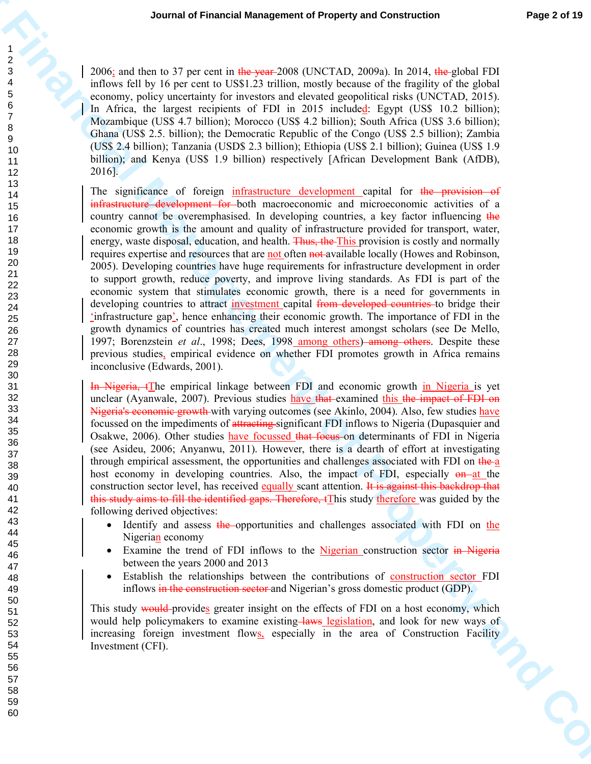2006; and then to 37 per cent in the year-2008 (UNCTAD, 2009a). In 2014, the global FDI inflows fell by 16 per cent to US\$1.23 trillion, mostly because of the fragility of the global economy, policy uncertainty for investors and elevated geopolitical risks (UNCTAD, 2015). In Africa, the largest recipients of FDI in 2015 included: Egypt (US\$ 10.2 billion); Mozambique (US\$ 4.7 billion); Morocco (US\$ 4.2 billion); South Africa (US\$ 3.6 billion); Ghana (US\$ 2.5. billion); the Democratic Republic of the Congo (US\$ 2.5 billion); Zambia (US\$ 2.4 billion); Tanzania (USD\$ 2.3 billion); Ethiopia (US\$ 2.1 billion); Guinea (US\$ 1.9 billion); and Kenya (US\$ 1.9 billion) respectively [African Development Bank (AfDB), 2016].

**Journal of Financial Management of Property and Construction<br>
Journal of The Construction<br>
Journal of Property and Construction<br>
1992-1991<br>
2006: And then 13.3 per certifical to the property and Construction<br>
2007<br>
2007** The significance of foreign infrastructure development capital for the provision of infrastructure development for both macroeconomic and microeconomic activities of a country cannot be overemphasised. In developing countries, a key factor influencing the economic growth is the amount and quality of infrastructure provided for transport, water, energy, waste disposal, education, and health. Thus, the This provision is costly and normally requires expertise and resources that are not often not available locally (Howes and Robinson, 2005). Developing countries have huge requirements for infrastructure development in order to support growth, reduce poverty, and improve living standards. As FDI is part of the economic system that stimulates economic growth, there is a need for governments in developing countries to attract investment capital from developed countries to bridge their 'infrastructure gap', hence enhancing their economic growth. The importance of FDI in the growth dynamics of countries has created much interest amongst scholars (see De Mello, 1997; Borenzstein *et al*., 1998; Dees, 1998 among others) among others. Despite these previous studies, empirical evidence on whether FDI promotes growth in Africa remains inconclusive (Edwards, 2001).

In Nigeria, tThe empirical linkage between FDI and economic growth in Nigeria is yet unclear (Ayanwale, 2007). Previous studies have that examined this the impact of FDI on Nigeria's economic growth with varying outcomes (see Akinlo, 2004). Also, few studies have focussed on the impediments of attracting significant FDI inflows to Nigeria (Dupasquier and Osakwe, 2006). Other studies have focussed that focus on determinants of FDI in Nigeria (see Asideu, 2006; Anyanwu, 2011). However, there is a dearth of effort at investigating through empirical assessment, the opportunities and challenges associated with FDI on the a host economy in developing countries. Also, the impact of FDI, especially on at the construction sector level, has received equally scant attention. It is against this backdrop that this study aims to fill the identified gaps. Therefore, tThis study therefore was guided by the following derived objectives:

- Identify and assess the opportunities and challenges associated with FDI on the Nigerian economy
- Examine the trend of FDI inflows to the Nigerian construction sector in Nigeria between the years 2000 and 2013
- Establish the relationships between the contributions of construction sector FDI inflows in the construction sector and Nigerian's gross domestic product (GDP).

This study would-provides greater insight on the effects of FDI on a host economy, which would help policymakers to examine existing laws legislation, and look for new ways of increasing foreign investment flows, especially in the area of Construction Facility Investment (CFI).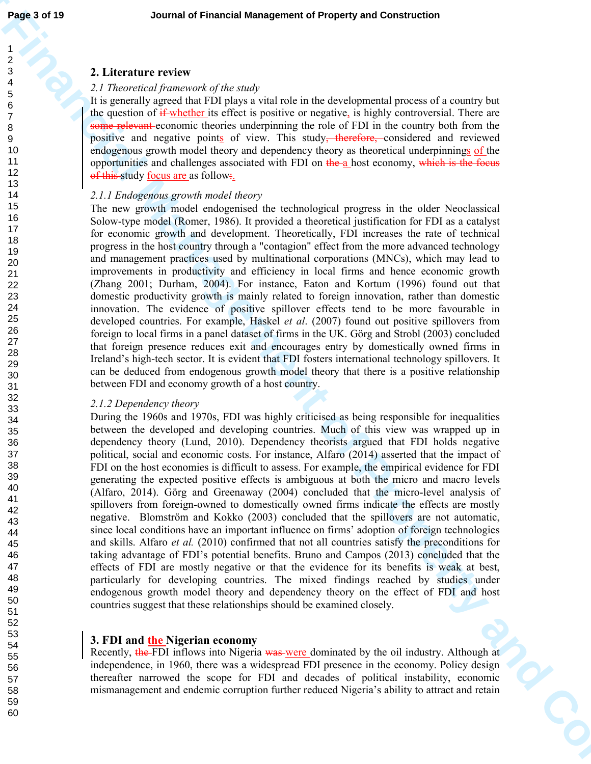# **2. Literature review**

## *2.1 Theoretical framework of the study*

It is generally agreed that FDI plays a vital role in the developmental process of a country but the question of  $\frac{f}{f}$  whether its effect is positive or negative, is highly controversial. There are some relevant economic theories underpinning the role of FDI in the country both from the positive and negative points of view. This study<del>, therefore,</del> considered and reviewed endogenous growth model theory and dependency theory as theoretical underpinnings of the opportunities and challenges associated with FDI on  $\frac{f}{f}$  the a host economy, which is the focus of this study focus are as follow.

# *2.1.1 Endogenous growth model theory*

The new growth model endogenised the technological progress in the older Neoclassical Solow-type model (Romer, 1986). It provided a theoretical justification for FDI as a catalyst for economic growth and development. Theoretically, FDI increases the rate of technical progress in the host country through a "contagion" effect from the more advanced technology and management practices used by multinational corporations (MNCs), which may lead to improvements in productivity and efficiency in local firms and hence economic growth (Zhang 2001; Durham, 2004). For instance, Eaton and Kortum (1996) found out that domestic productivity growth is mainly related to foreign innovation, rather than domestic innovation. The evidence of positive spillover effects tend to be more favourable in developed countries. For example, Haskel *et al*. (2007) found out positive spillovers from foreign to local firms in a panel dataset of firms in the UK. Görg and Strobl (2003) concluded that foreign presence reduces exit and encourages entry by domestically owned firms in Ireland's high-tech sector. It is evident that FDI fosters international technology spillovers. It can be deduced from endogenous growth model theory that there is a positive relationship between FDI and economy growth of a host country.

# *2.1.2 Dependency theory*

**Page 16 of 13**<br> **Journal of Financial Management of Property and Construction**<br> **J J. Theoretical Property and Construction**<br> **J. I. Theoretical Property and Construction**<br> **J. I. Theoretical CD plays a vest rate is th** During the 1960s and 1970s, FDI was highly criticised as being responsible for inequalities between the developed and developing countries. Much of this view was wrapped up in dependency theory (Lund, 2010). Dependency theorists argued that FDI holds negative political, social and economic costs. For instance, Alfaro (2014) asserted that the impact of FDI on the host economies is difficult to assess. For example, the empirical evidence for FDI generating the expected positive effects is ambiguous at both the micro and macro levels (Alfaro, 2014). Görg and Greenaway (2004) concluded that the micro-level analysis of spillovers from foreign-owned to domestically owned firms indicate the effects are mostly negative. Blomström and Kokko (2003) concluded that the spillovers are not automatic, since local conditions have an important influence on firms' adoption of foreign technologies and skills. Alfaro *et al.* (2010) confirmed that not all countries satisfy the preconditions for taking advantage of FDI's potential benefits. Bruno and Campos (2013) concluded that the effects of FDI are mostly negative or that the evidence for its benefits is weak at best, particularly for developing countries. The mixed findings reached by studies under endogenous growth model theory and dependency theory on the effect of FDI and host countries suggest that these relationships should be examined closely.

# **3. FDI and the Nigerian economy**

Recently, the FDI inflows into Nigeria was were dominated by the oil industry. Although at independence, in 1960, there was a widespread FDI presence in the economy. Policy design thereafter narrowed the scope for FDI and decades of political instability, economic mismanagement and endemic corruption further reduced Nigeria's ability to attract and retain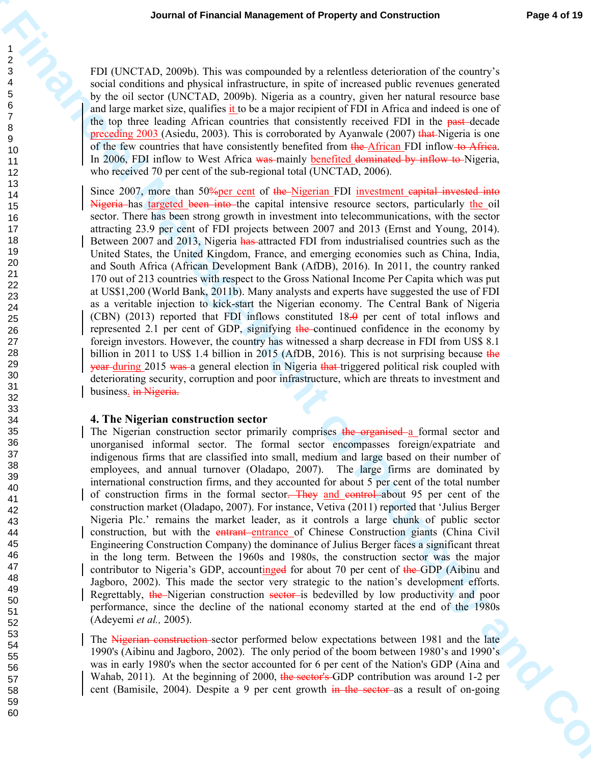FDI (UNCTAD, 2009b). This was compounded by a relentless deterioration of the country's social conditions and physical infrastructure, in spite of increased public revenues generated by the oil sector (UNCTAD, 2009b). Nigeria as a country, given her natural resource base and large market size, qualifies it to be a major recipient of FDI in Africa and indeed is one of the top three leading African countries that consistently received FDI in the past decade preceding 2003 (Asiedu, 2003). This is corroborated by Ayanwale (2007) that Nigeria is one of the few countries that have consistently benefited from the African FDI inflow to Africa. In 2006, FDI inflow to West Africa was mainly benefited dominated by inflow to Nigeria, who received 70 per cent of the sub-regional total (UNCTAD, 2006).

**Journal of Financial Management of Property and Construction**<br> **Journal of the construction**<br> **The interaction of the construction**<br> **Depend of the construction**<br> **Depend of the construction**<br> **Depend of the construction** Since 2007, more than 50% per cent of the Nigerian FDI investment capital invested into Nigeria has targeted been into the capital intensive resource sectors, particularly the oil sector. There has been strong growth in investment into telecommunications, with the sector attracting 23.9 per cent of FDI projects between 2007 and 2013 (Ernst and Young, 2014). Between 2007 and 2013, Nigeria has attracted FDI from industrialised countries such as the United States, the United Kingdom, France, and emerging economies such as China, India, and South Africa (African Development Bank (AfDB), 2016). In 2011, the country ranked 170 out of 213 countries with respect to the Gross National Income Per Capita which was put at US\$1,200 (World Bank, 2011b). Many analysts and experts have suggested the use of FDI as a veritable injection to kick-start the Nigerian economy. The Central Bank of Nigeria (CBN) (2013) reported that FDI inflows constituted  $18.0$  per cent of total inflows and represented 2.1 per cent of GDP, signifying the continued confidence in the economy by foreign investors. However, the country has witnessed a sharp decrease in FDI from US\$ 8.1 billion in 2011 to US\$ 1.4 billion in 2015 (AfDB, 2016). This is not surprising because the year-during 2015 was a general election in Nigeria that triggered political risk coupled with deteriorating security, corruption and poor infrastructure, which are threats to investment and business. in Nigeria.

#### **4. The Nigerian construction sector**

The Nigerian construction sector primarily comprises the organised a formal sector and unorganised informal sector. The formal sector encompasses foreign/expatriate and indigenous firms that are classified into small, medium and large based on their number of employees, and annual turnover (Oladapo, 2007). The large firms are dominated by international construction firms, and they accounted for about 5 per cent of the total number of construction firms in the formal sector. They and control about 95 per cent of the construction market (Oladapo, 2007). For instance, Vetiva (2011) reported that 'Julius Berger Nigeria Plc.' remains the market leader, as it controls a large chunk of public sector construction, but with the entrant entrance of Chinese Construction giants (China Civil Engineering Construction Company) the dominance of Julius Berger faces a significant threat in the long term. Between the 1960s and 1980s, the construction sector was the major contributor to Nigeria's GDP, accountinged for about 70 per cent of the GDP (Aibinu and Jagboro, 2002). This made the sector very strategic to the nation's development efforts. Regrettably, the Nigerian construction sector is bedevilled by low productivity and poor performance, since the decline of the national economy started at the end of the 1980s (Adeyemi *et al.,* 2005).

The Nigerian construction sector performed below expectations between 1981 and the late 1990's (Aibinu and Jagboro, 2002). The only period of the boom between 1980's and 1990's was in early 1980's when the sector accounted for 6 per cent of the Nation's GDP (Aina and Wahab, 2011). At the beginning of 2000, the sector's GDP contribution was around 1-2 per cent (Bamisile, 2004). Despite a 9 per cent growth in the sector as a result of on-going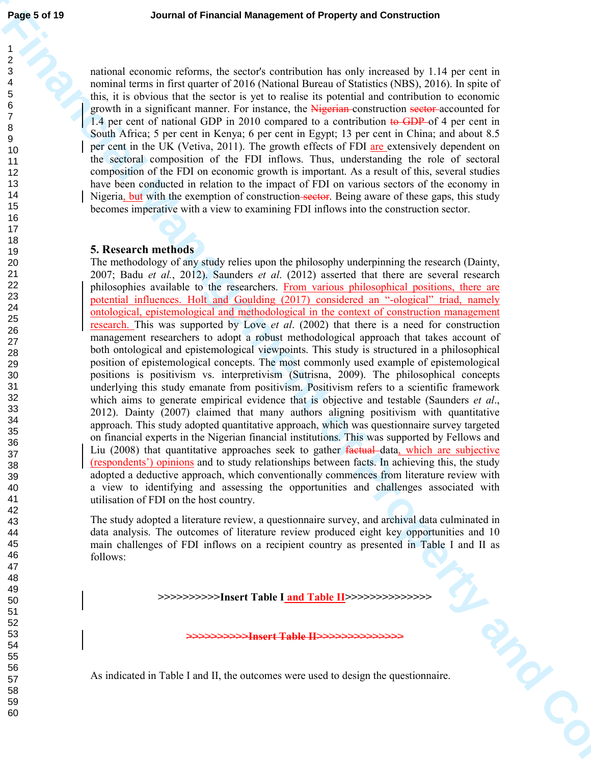national economic reforms, the sector's contribution has only increased by 1.14 per cent in nominal terms in first quarter of 2016 (National Bureau of Statistics (NBS), 2016). In spite of this, it is obvious that the sector is yet to realise its potential and contribution to economic growth in a significant manner. For instance, the Nigerian-construction sector-accounted for 1.4 per cent of national GDP in 2010 compared to a contribution to GDP of 4 per cent in South Africa; 5 per cent in Kenya; 6 per cent in Egypt; 13 per cent in China; and about 8.5 per cent in the UK (Vetiva, 2011). The growth effects of FDI are extensively dependent on the sectoral composition of the FDI inflows. Thus, understanding the role of sectoral composition of the FDI on economic growth is important. As a result of this, several studies have been conducted in relation to the impact of FDI on various sectors of the economy in Nigeria, but with the exemption of construction sector. Being aware of these gaps, this study becomes imperative with a view to examining FDI inflows into the construction sector.

#### **5. Research methods**

**Page 16 of 13**<br> **Journal of Financial Management of Property and Construction**<br> **Journal of The Society in the Society construction**<br> **Construction**<br> **Construction**<br> **Construction**<br> **Construction**<br> **Construction**<br> **Constr** The methodology of any study relies upon the philosophy underpinning the research (Dainty, 2007; Badu *et al.*, 2012). Saunders *et al*. (2012) asserted that there are several research philosophies available to the researchers. From various philosophical positions, there are potential influences. Holt and Goulding (2017) considered an "-ological" triad, namely ontological, epistemological and methodological in the context of construction management research. This was supported by Love *et al*. (2002) that there is a need for construction management researchers to adopt a robust methodological approach that takes account of both ontological and epistemological viewpoints. This study is structured in a philosophical position of epistemological concepts. The most commonly used example of epistemological positions is positivism vs. interpretivism (Sutrisna, 2009). The philosophical concepts underlying this study emanate from positivism. Positivism refers to a scientific framework which aims to generate empirical evidence that is objective and testable (Saunders *et al*., 2012). Dainty (2007) claimed that many authors aligning positivism with quantitative approach. This study adopted quantitative approach, which was questionnaire survey targeted on financial experts in the Nigerian financial institutions. This was supported by Fellows and Liu (2008) that quantitative approaches seek to gather factual data, which are subjective (respondents') opinions and to study relationships between facts. In achieving this, the study adopted a deductive approach, which conventionally commences from literature review with a view to identifying and assessing the opportunities and challenges associated with utilisation of FDI on the host country.

The study adopted a literature review, a questionnaire survey, and archival data culminated in data analysis. The outcomes of literature review produced eight key opportunities and 10 main challenges of FDI inflows on a recipient country as presented in Table I and II as follows:

**>>>>>>>>>>Insert Table I and Table II>>>>>>>>>>>>>>** 

**>>>>>>>>>>Insert Table II>>>>>>>>>>>>>>** 

As indicated in Table I and II, the outcomes were used to design the questionnaire.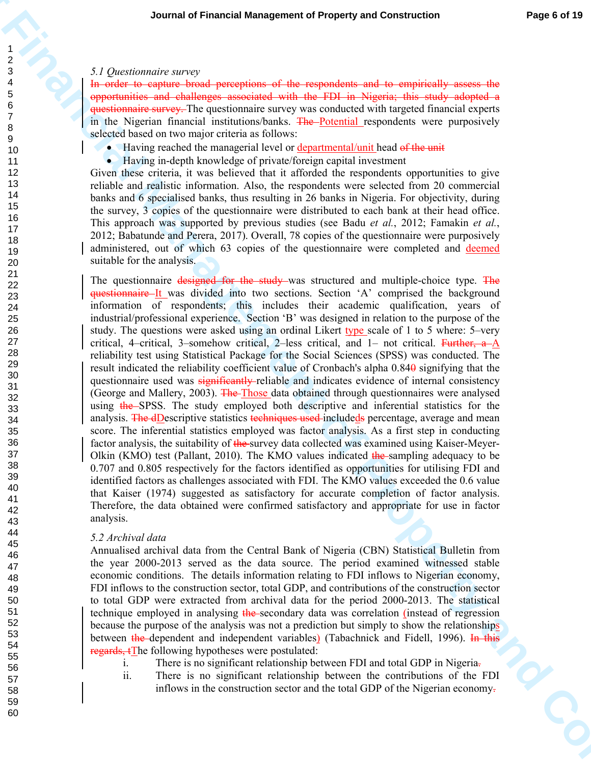#### *5.1 Questionnaire survey*

In order to capture broad perceptions of the respondents and to empirically assess the opportunities and challenges associated with the FDI in Nigeria; this study adopted a questionnaire survey. The questionnaire survey was conducted with targeted financial experts in the Nigerian financial institutions/banks. The Potential respondents were purposively selected based on two major criteria as follows:

- Having reached the managerial level or **departmental/unit** head of the unit
- Having in-depth knowledge of private/foreign capital investment

Given these criteria, it was believed that it afforded the respondents opportunities to give reliable and realistic information. Also, the respondents were selected from 20 commercial banks and 6 specialised banks, thus resulting in 26 banks in Nigeria. For objectivity, during the survey, 3 copies of the questionnaire were distributed to each bank at their head office. This approach was supported by previous studies (see Badu *et al.*, 2012; Famakin *et al.*, 2012; Babatunde and Perera, 2017). Overall, 78 copies of the questionnaire were purposively administered, out of which 63 copies of the questionnaire were completed and deemed suitable for the analysis.

**Journal of Financial Management of Property and Construction Paper 6 of The Construction Construction (Application Construction Construction Construction Construction (Application Construction Construction Construction (** The questionnaire designed for the study was structured and multiple-choice type. The questionnaire It was divided into two sections. Section 'A' comprised the background information of respondents; this includes their academic qualification, years of industrial/professional experience. Section 'B' was designed in relation to the purpose of the study. The questions were asked using an ordinal Likert type scale of 1 to 5 where: 5–very critical, 4–critical, 3–somehow critical, 2–less critical, and  $1-$  not critical. Further,  $a-A$ reliability test using Statistical Package for the Social Sciences (SPSS) was conducted. The result indicated the reliability coefficient value of Cronbach's alpha 0.840 signifying that the questionnaire used was significantly reliable and indicates evidence of internal consistency (George and Mallery, 2003). The Those data obtained through questionnaires were analysed using the SPSS. The study employed both descriptive and inferential statistics for the analysis. The dDescriptive statistics techniques used includeds percentage, average and mean score. The inferential statistics employed was factor analysis. As a first step in conducting factor analysis, the suitability of the survey data collected was examined using Kaiser-Meyer-Olkin (KMO) test (Pallant, 2010). The KMO values indicated the sampling adequacy to be 0.707 and 0.805 respectively for the factors identified as opportunities for utilising FDI and identified factors as challenges associated with FDI. The KMO values exceeded the 0.6 value that Kaiser (1974) suggested as satisfactory for accurate completion of factor analysis. Therefore, the data obtained were confirmed satisfactory and appropriate for use in factor analysis.

#### *5.2 Archival data*

Annualised archival data from the Central Bank of Nigeria (CBN) Statistical Bulletin from the year 2000-2013 served as the data source. The period examined witnessed stable economic conditions. The details information relating to FDI inflows to Nigerian economy, FDI inflows to the construction sector, total GDP, and contributions of the construction sector to total GDP were extracted from archival data for the period 2000-2013. The statistical technique employed in analysing the secondary data was correlation (instead of regression because the purpose of the analysis was not a prediction but simply to show the relationships between the dependent and independent variables) (Tabachnick and Fidell, 1996). In this regards, tThe following hypotheses were postulated:

- i. There is no significant relationship between FDI and total GDP in Nigeria.
- ii. There is no significant relationship between the contributions of the FDI inflows in the construction sector and the total GDP of the Nigerian economy.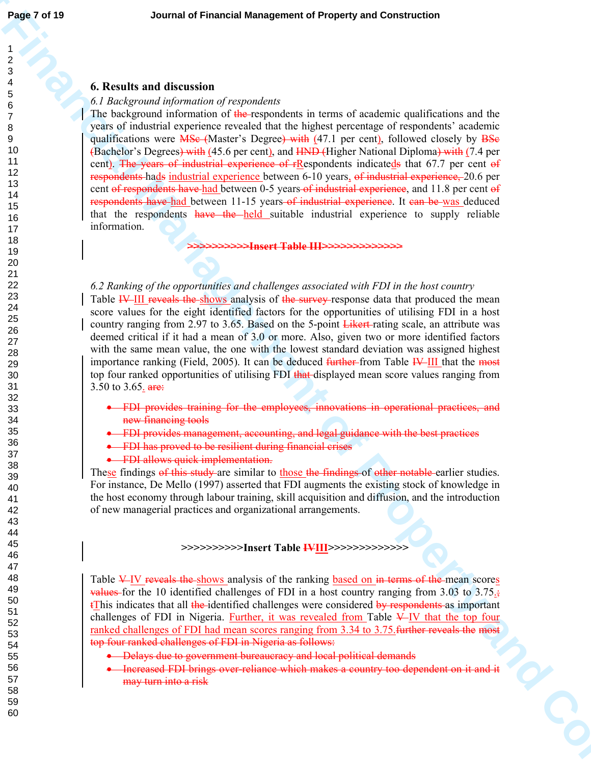#### **6. Results and discussion**

#### *6.1 Background information of respondents*

**Page 7 of 13**<br> **Journal of Financial Management of Property and Construction**<br> **A Construction and discussions**<br> **A Construction and discussions**<br> **A Construction and discussions**<br> **A Construction and discussions** The background information of the respondents in terms of academic qualifications and the years of industrial experience revealed that the highest percentage of respondents' academic qualifications were  $\overline{\text{MSe}}$  (Master's Degree) with (47.1 per cent), followed closely by  $\overline{\text{BSe}}$ (Bachelor's Degrees) with (45.6 per cent), and HND (Higher National Diploma) with (7.4 per cent). The years of industrial experience of rRespondents indicateds that 67.7 per cent of respondents hads industrial experience between 6-10 years, of industrial experience, 20.6 per cent of respondents have had between 0-5 years of industrial experience, and 11.8 per cent of respondents have had between 11-15 years of industrial experience. It can be was deduced that the respondents have the held suitable industrial experience to supply reliable information.

**>>>>>>>>>>Insert Table III>>>>>>>>>>>>>** 

#### *6.2 Ranking of the opportunities and challenges associated with FDI in the host country*

Table IV-III reveals the shows analysis of the survey response data that produced the mean score values for the eight identified factors for the opportunities of utilising FDI in a host country ranging from 2.97 to 3.65. Based on the 5-point Likert-rating scale, an attribute was deemed critical if it had a mean of 3.0 or more. Also, given two or more identified factors with the same mean value, the one with the lowest standard deviation was assigned highest importance ranking (Field, 2005). It can be deduced  $\frac{\text{further}}{\text{fform}}$  Table IV-III that the most top four ranked opportunities of utilising FDI that displayed mean score values ranging from 3.50 to 3.65.  $\frac{1}{100}$ 

- FDI provides training for the employees, innovations in operational practices, and new financing tools
- FDI provides management, accounting, and legal guidance with the best practices
- FDI has proved to be resilient during financial crises
- FDI allows quick implementation.

These findings of this study are similar to those the findings of other notable earlier studies. For instance, De Mello (1997) asserted that FDI augments the existing stock of knowledge in the host economy through labour training, skill acquisition and diffusion, and the introduction of new managerial practices and organizational arrangements.

#### **>>>>>>>>>>Insert Table IVIII>>>>>>>>>>>>>**

Table V–IV reveals the shows analysis of the ranking based on in terms of the mean scores values for the 10 identified challenges of FDI in a host country ranging from 3.03 to 3.75.;  $t$  This indicates that all the identified challenges were considered by respondents as important challenges of FDI in Nigeria. Further, it was revealed from Table  $V$ -IV that the top four ranked challenges of FDI had mean scores ranging from 3.34 to 3.75.further reveals the most top four ranked challenges of FDI in Nigeria as follows:

- Delays due to government bureaucracy and local political demands
- Increased FDI brings over reliance which makes a country too dependent on it and it may turn into a risk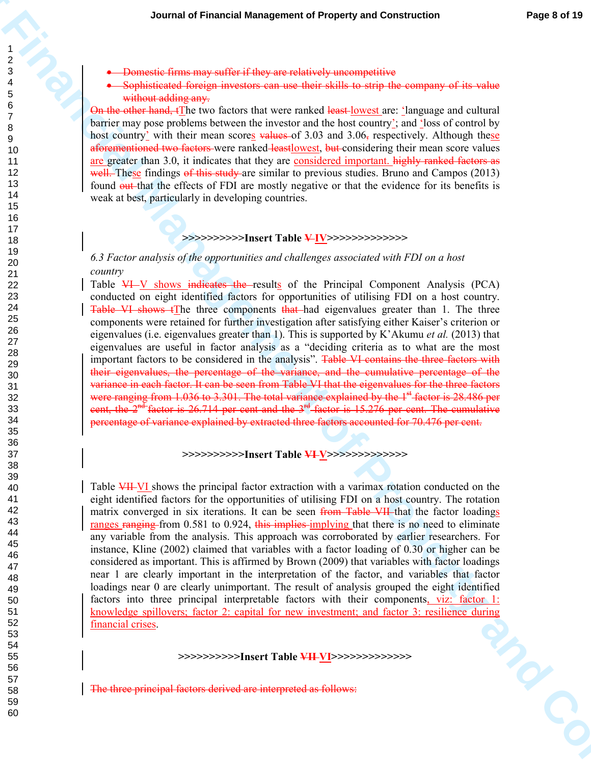- Domestic firms may suffer if they are relatively uncompetitive
- Sophisticated foreign investors can use their skills to strip the company of its value without adding any.

On the other hand, tThe two factors that were ranked least lowest are: 'language and cultural barrier may pose problems between the investor and the host country'; and 'loss of control by host country' with their mean scores values of  $3.03$  and  $3.06$ , respectively. Although these aforementioned two factors were ranked least lowest, but considering their mean score values are greater than 3.0, it indicates that they are considered important. highly ranked factors as well. These findings of this study are similar to previous studies. Bruno and Campos (2013) found out that the effects of FDI are mostly negative or that the evidence for its benefits is weak at best, particularly in developing countries.

#### **>>>>>>>>>>Insert Table V IV>>>>>>>>>>>>>**

*6.3 Factor analysis of the opportunities and challenges associated with FDI on a host country*

**Journal of Financial Management of Property and Construction**<br> **Journal of Financial Management of Property and Construction**<br> **Construction**<br> **Construction**<br> **Construction**<br> **Construction**<br> **Construction**<br> **Construction** Table VI V shows indicates the results of the Principal Component Analysis (PCA) conducted on eight identified factors for opportunities of utilising FDI on a host country. Table VI shows tThe three components that had eigenvalues greater than 1. The three components were retained for further investigation after satisfying either Kaiser's criterion or eigenvalues (i.e. eigenvalues greater than 1). This is supported by K'Akumu *et al.* (2013) that eigenvalues are useful in factor analysis as a "deciding criteria as to what are the most important factors to be considered in the analysis". Table VI contains the three factors with their eigenvalues, the percentage of the variance, and the cumulative percentage of the variance in each factor. It can be seen from Table VI that the eigenvalues for the three factors were ranging from 1.036 to 3.301. The total variance explained by the  $1<sup>st</sup>$  factor is 28.486 per cent, the  $2^{nd}$  factor is 26.714 per cent and the  $3^{rd}$  factor is 15.276 per cent. The cumulative percentage of variance explained by extracted three factors accounted for 70.476 per cent.

#### **>>>>>>>>>>Insert Table VI V>>>>>>>>>>>>>**

Table VII-VI shows the principal factor extraction with a varimax rotation conducted on the eight identified factors for the opportunities of utilising FDI on a host country. The rotation matrix converged in six iterations. It can be seen from Table VII that the factor loadings ranges ranging from 0.581 to 0.924, this implies implying that there is no need to eliminate any variable from the analysis. This approach was corroborated by earlier researchers. For instance, Kline (2002) claimed that variables with a factor loading of 0.30 or higher can be considered as important. This is affirmed by Brown (2009) that variables with factor loadings near 1 are clearly important in the interpretation of the factor, and variables that factor loadings near 0 are clearly unimportant. The result of analysis grouped the eight identified factors into three principal interpretable factors with their components, viz: factor 1: knowledge spillovers; factor 2: capital for new investment; and factor 3: resilience during<br>
financial crises.<br>
>>>>>>>>>>>>>>>Finsert Table <del>VH VI</u>>>>>>>>>>>>>>>>><br>
+^d-as follows:</del> financial crises.

**>>>>>>>>>>Insert Table VII VI>>>>>>>>>>>>>** 

The three principal factors derived are interpreted as follows: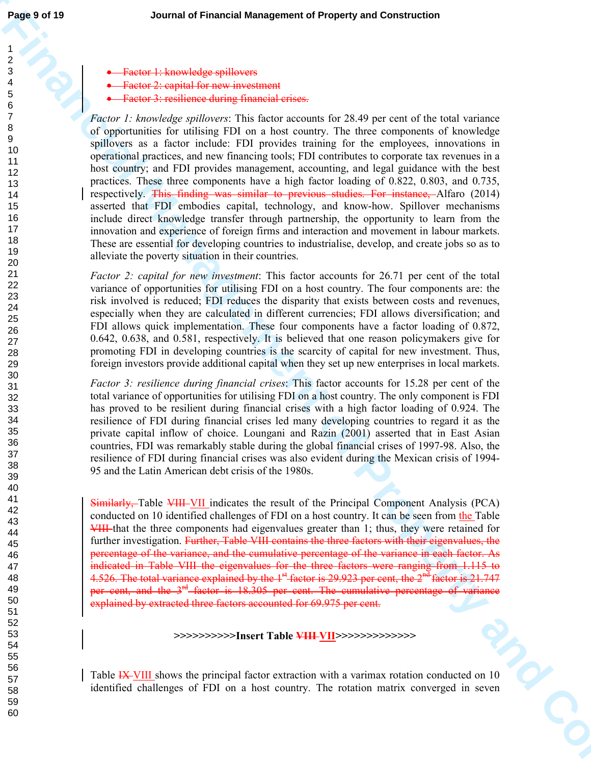• Factor 1: knowledge spillovers

• Factor 2: capital for new investment

• Factor 3: resilience during financial crises.

**Page 19 of 19**<br> **Journal of Financial Management of Property and Construction<br>
19 of Theories Coupled on the two stressor matrix**  $\frac{1}{2}$ **<br>
19 of Theories Coupled on the stressor matrix**  $\frac{1}{2}$ **<br>
19 of Theories Coupled** *Factor 1: knowledge spillovers*: This factor accounts for 28.49 per cent of the total variance of opportunities for utilising FDI on a host country. The three components of knowledge spillovers as a factor include: FDI provides training for the employees, innovations in operational practices, and new financing tools; FDI contributes to corporate tax revenues in a host country; and FDI provides management, accounting, and legal guidance with the best practices. These three components have a high factor loading of 0.822, 0.803, and 0.735, respectively. This finding was similar to previous studies. For instance, Alfaro (2014) asserted that FDI embodies capital, technology, and know-how. Spillover mechanisms include direct knowledge transfer through partnership, the opportunity to learn from the innovation and experience of foreign firms and interaction and movement in labour markets. These are essential for developing countries to industrialise, develop, and create jobs so as to alleviate the poverty situation in their countries.

*Factor 2: capital for new investment*: This factor accounts for 26.71 per cent of the total variance of opportunities for utilising FDI on a host country. The four components are: the risk involved is reduced; FDI reduces the disparity that exists between costs and revenues, especially when they are calculated in different currencies; FDI allows diversification; and FDI allows quick implementation. These four components have a factor loading of 0.872, 0.642, 0.638, and 0.581, respectively. It is believed that one reason policymakers give for promoting FDI in developing countries is the scarcity of capital for new investment. Thus, foreign investors provide additional capital when they set up new enterprises in local markets.

*Factor 3: resilience during financial crises*: This factor accounts for 15.28 per cent of the total variance of opportunities for utilising FDI on a host country. The only component is FDI has proved to be resilient during financial crises with a high factor loading of 0.924. The resilience of FDI during financial crises led many developing countries to regard it as the private capital inflow of choice. Loungani and Razin (2001) asserted that in East Asian countries, FDI was remarkably stable during the global financial crises of 1997-98. Also, the resilience of FDI during financial crises was also evident during the Mexican crisis of 1994- 95 and the Latin American debt crisis of the 1980s.

Similarly, Table VIII VII indicates the result of the Principal Component Analysis (PCA) conducted on 10 identified challenges of FDI on a host country. It can be seen from the Table VIII that the three components had eigenvalues greater than 1; thus, they were retained for further investigation. Further, Table VIII contains the three factors with their eigenvalues, the percentage of the variance, and the cumulative percentage of the variance in each factor. As indicated in Table VIII the eigenvalues for the three factors were ranging from 1.115 to 4.526. The total variance explained by the  $1<sup>st</sup>$  factor is 29.923 per cent, the  $2<sup>nd</sup>$  factor is 21.747 per cent, and the 3<sup>rd</sup> factor is 18.305 per cent. The cumulative percentage of variance explained by extracted three factors accounted for 69.975 per cent.

# >>>>>>>>>>>Insert Table <del>VIII</del>-VII>>>>>>>>>>>>>

Table **IX**-VIII shows the principal factor extraction with a varimax rotation conducted on 10 identified challenges of FDI on a host country. The rotation matrix converged in seven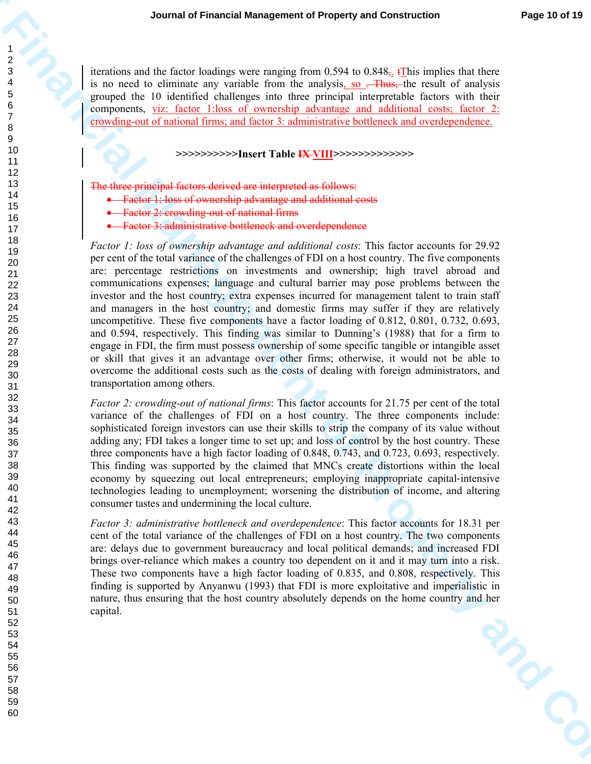iterations and the factor loadings were ranging from 0.594 to 0.848,.  $\mathbf{f}$  This implies that there is no need to eliminate any variable from the analysis, so  $\overline{\text{--}$  Thus, the result of analysis grouped the 10 identified challenges into three principal interpretable factors with their components, viz: factor 1:loss of ownership advantage and additional costs; factor 2: crowding-out of national firms; and factor 3: administrative bottleneck and overdependence.

#### **>>>>>>>>>>Insert Table IX VIII>>>>>>>>>>>>>**

The three principal factors derived are interpreted as follows:

- Factor 1: loss of ownership advantage and additional costs
- Factor 2: crowding out of national firms
- Factor 3: administrative bottleneck and overdependence

**Journal of Financial Management of Property and Construction**<br> **Journal of Financial Management of Property and Construction**<br> **Journal of the financial Management of Property and Construction**<br> **Journal of the financial** *Factor 1: loss of ownership advantage and additional costs*: This factor accounts for 29.92 per cent of the total variance of the challenges of FDI on a host country. The five components are: percentage restrictions on investments and ownership; high travel abroad and communications expenses; language and cultural barrier may pose problems between the investor and the host country; extra expenses incurred for management talent to train staff and managers in the host country; and domestic firms may suffer if they are relatively uncompetitive. These five components have a factor loading of 0.812, 0.801, 0.732, 0.693, and 0.594, respectively. This finding was similar to Dunning's (1988) that for a firm to engage in FDI, the firm must possess ownership of some specific tangible or intangible asset or skill that gives it an advantage over other firms; otherwise, it would not be able to overcome the additional costs such as the costs of dealing with foreign administrators, and transportation among others.

*Factor 2: crowding-out of national firms*: This factor accounts for 21.75 per cent of the total variance of the challenges of FDI on a host country. The three components include: sophisticated foreign investors can use their skills to strip the company of its value without adding any; FDI takes a longer time to set up; and loss of control by the host country. These three components have a high factor loading of 0.848, 0.743, and 0.723, 0.693, respectively. This finding was supported by the claimed that MNCs create distortions within the local economy by squeezing out local entrepreneurs; employing inappropriate capital-intensive technologies leading to unemployment; worsening the distribution of income, and altering consumer tastes and undermining the local culture.

*Factor 3: administrative bottleneck and overdependence*: This factor accounts for 18.31 per cent of the total variance of the challenges of FDI on a host country. The two components are: delays due to government bureaucracy and local political demands; and increased FDI brings over-reliance which makes a country too dependent on it and it may turn into a risk. These two components have a high factor loading of 0.835, and 0.808, respectively. This finding is supported by Anyanwu (1993) that FDI is more exploitative and imperialistic in nature, thus ensuring that the host country absolutely depends on the home country and her capital.

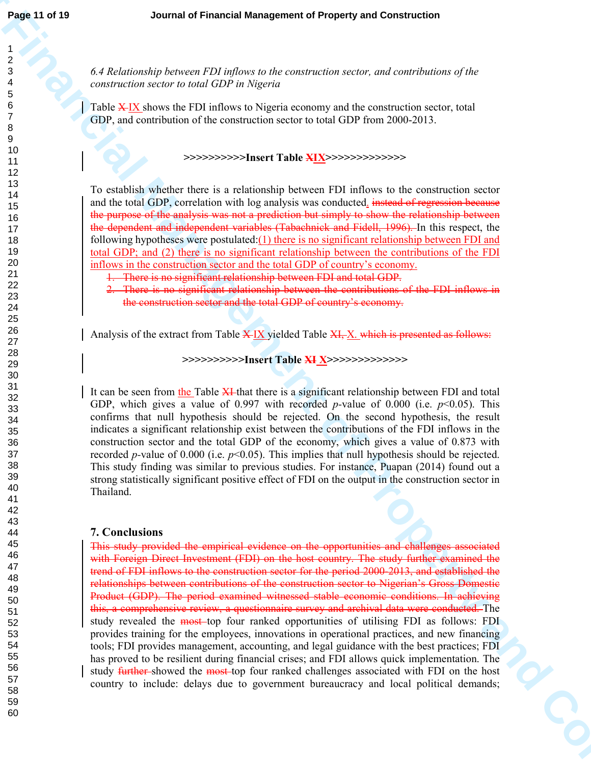*6.4 Relationship between FDI inflows to the construction sector, and contributions of the construction sector to total GDP in Nigeria*

Table  $XIX$  shows the FDI inflows to Nigeria economy and the construction sector, total GDP, and contribution of the construction sector to total GDP from 2000-2013.

#### **>>>>>>>>>>Insert Table XIX>>>>>>>>>>>>>**

To establish whether there is a relationship between FDI inflows to the construction sector and the total GDP, correlation with log analysis was conducted. instead of regression because the purpose of the analysis was not a prediction but simply to show the relationship between the dependent and independent variables (Tabachnick and Fidell, 1996). In this respect, the following hypotheses were postulated:(1) there is no significant relationship between FDI and total GDP; and (2) there is no significant relationship between the contributions of the FDI inflows in the construction sector and the total GDP of country's economy.

1. There is no significant relationship between FDI and total GDP.

2. There is no significant relationship between the contributions of the FDI inflows in the construction sector and the total GDP of country's economy.

Analysis of the extract from Table  $X$ -IX yielded Table  $X$ -I,  $X$ , which is presented as follows:

#### **>>>>>>>>>>Insert Table XI X>>>>>>>>>>>>>**

It can be seen from the Table XI that there is a significant relationship between FDI and total GDP, which gives a value of 0.997 with recorded *p*-value of 0.000 (i.e.  $p<0.05$ ). This confirms that null hypothesis should be rejected. On the second hypothesis, the result indicates a significant relationship exist between the contributions of the FDI inflows in the construction sector and the total GDP of the economy, which gives a value of 0.873 with recorded *p*-value of 0.000 (i.e.  $p<0.05$ ). This implies that null hypothesis should be rejected. This study finding was similar to previous studies. For instance, Puapan (2014) found out a strong statistically significant positive effect of FDI on the output in the construction sector in Thailand.

#### **7. Conclusions**

**Page 11 of 13**<br>
Journal of Processing Amender (P) rights on the construction scene, and construction syles.<br>  $\vec{r}$  A Robertonial Amender (P) rights on the construction scene, and construction syles.<br>
The second matrix This study provided the empirical evidence on the opportunities and challenges associated with Foreign Direct Investment (FDI) on the host country. The study further examined the trend of FDI inflows to the construction sector for the period 2000-2013, and established the relationships between contributions of the construction sector to Nigerian's Gross Domestic Product (GDP). The period examined witnessed stable economic conditions. In achieving this, a comprehensive review, a questionnaire survey and archival data were conducted. The study revealed the most-top four ranked opportunities of utilising FDI as follows: FDI provides training for the employees, innovations in operational practices, and new financing tools; FDI provides management, accounting, and legal guidance with the best practices; FDI has proved to be resilient during financial crises; and FDI allows quick implementation. The study further-showed the most-top four ranked challenges associated with FDI on the host country to include: delays due to government bureaucracy and local political demands;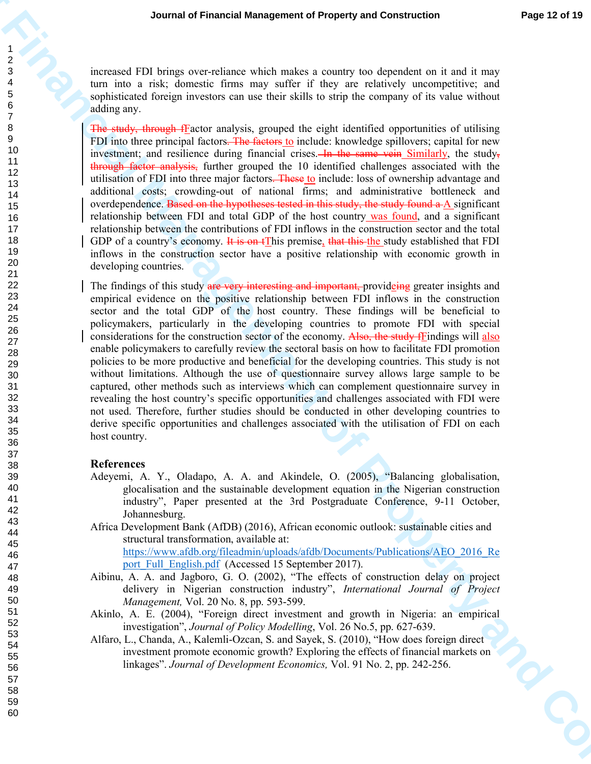increased FDI brings over-reliance which makes a country too dependent on it and it may turn into a risk; domestic firms may suffer if they are relatively uncompetitive; and sophisticated foreign investors can use their skills to strip the company of its value without adding any.

The study, through fFactor analysis, grouped the eight identified opportunities of utilising FDI into three principal factors. The factors to include: knowledge spillovers; capital for new investment; and resilience during financial crises. In the same vein Similarly, the study, through factor analysis, further grouped the 10 identified challenges associated with the utilisation of FDI into three major factors. These to include: loss of ownership advantage and additional costs; crowding-out of national firms; and administrative bottleneck and overdependence. Based on the hypotheses tested in this study, the study found a A significant relationship between FDI and total GDP of the host country was found, and a significant relationship between the contributions of FDI inflows in the construction sector and the total GDP of a country's economy. It is on tThis premise, that this the study established that FDI inflows in the construction sector have a positive relationship with economic growth in developing countries.

**Journal of Financial Management of Property and Construction Pape 12 of Pape 12 of Pape 12 of Pape 12 of Pape 12 of Pape 12 of Pape 12 of Pape 12 of Pape 12 of Pape 12 of Pape 12 of Pape 12 of Pape 12 of Pape 12 of Pape** The findings of this study are very interesting and important, provideing greater insights and empirical evidence on the positive relationship between FDI inflows in the construction sector and the total GDP of the host country. These findings will be beneficial to policymakers, particularly in the developing countries to promote FDI with special considerations for the construction sector of the economy. Also, the study fFindings will also enable policymakers to carefully review the sectoral basis on how to facilitate FDI promotion policies to be more productive and beneficial for the developing countries. This study is not without limitations. Although the use of questionnaire survey allows large sample to be captured, other methods such as interviews which can complement questionnaire survey in revealing the host country's specific opportunities and challenges associated with FDI were not used. Therefore, further studies should be conducted in other developing countries to derive specific opportunities and challenges associated with the utilisation of FDI on each host country.

#### **References**

- Adeyemi, A. Y., Oladapo, A. A. and Akindele, O. (2005), "Balancing globalisation, glocalisation and the sustainable development equation in the Nigerian construction industry", Paper presented at the 3rd Postgraduate Conference, 9-11 October, Johannesburg.
- Africa Development Bank (AfDB) (2016), African economic outlook: sustainable cities and structural transformation, available at: https://www.afdb.org/fileadmin/uploads/afdb/Documents/Publications/AEO\_2016\_Re port Full English.pdf (Accessed 15 September 2017).
- Aibinu, A. A. and Jagboro, G. O. (2002), "The effects of construction delay on project delivery in Nigerian construction industry", *International Journal of Project Management,* Vol. 20 No. 8, pp. 593-599.
- Akinlo, A. E. (2004), "Foreign direct investment and growth in Nigeria: an empirical investigation", *Journal of Policy Modelling*, Vol. 26 No.5, pp. 627-639.
- Alfaro, L., Chanda, A., Kalemli-Ozcan, S. and Sayek, S. (2010), "How does foreign direct investment promote economic growth? Exploring the effects of financial markets on linkages". *Journal of Development Economics,* Vol. 91 No. 2, pp. 242-256.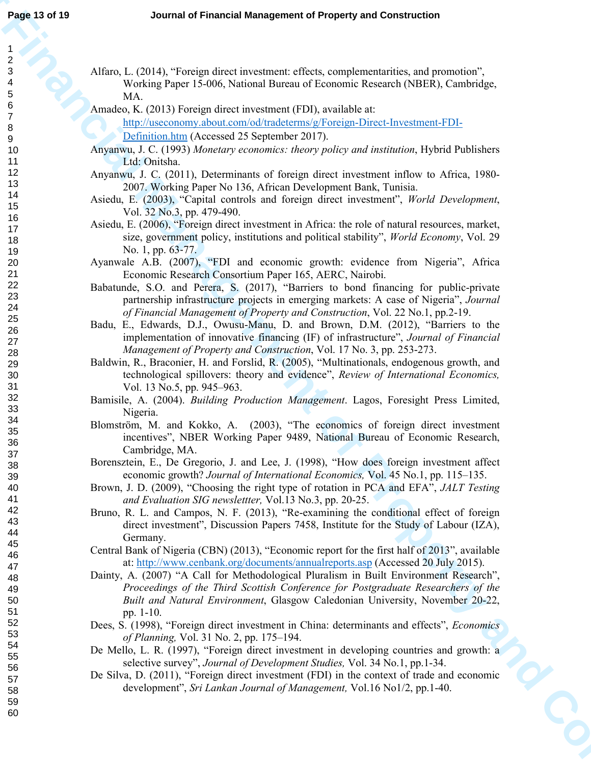60

Alfaro, L. (2014), "Foreign direct investment: effects, complementarities, and promotion", Working Paper 15-006, National Bureau of Economic Research (NBER), Cambridge, MA.

Amadeo, K. (2013) Foreign direct investment (FDI), available at:

http://useconomy.about.com/od/tradeterms/g/Foreign-Direct-Investment-FDI-

Definition.htm (Accessed 25 September 2017).

- Anyanwu, J. C. (1993) *Monetary economics: theory policy and institution*, Hybrid Publishers Ltd: Onitsha.
- Anyanwu, J. C. (2011), Determinants of foreign direct investment inflow to Africa, 1980- 2007. Working Paper No 136, African Development Bank, Tunisia.
- Asiedu, E. (2003), "Capital controls and foreign direct investment", *World Development*, Vol. 32 No.3, pp. 479-490.
- Asiedu, E. (2006), "Foreign direct investment in Africa: the role of natural resources, market, size, government policy, institutions and political stability", *World Economy*, Vol. 29 No. 1, pp. 63-77.
- Ayanwale A.B. (2007), "FDI and economic growth: evidence from Nigeria", Africa Economic Research Consortium Paper 165, AERC, Nairobi.
- Babatunde, S.O. and Perera, S. (2017), "Barriers to bond financing for public-private partnership infrastructure projects in emerging markets: A case of Nigeria", *Journal of Financial Management of Property and Construction*, Vol. 22 No.1, pp.2-19.
- Badu, E., Edwards, D.J., Owusu-Manu, D. and Brown, D.M. (2012), "Barriers to the implementation of innovative financing (IF) of infrastructure", *Journal of Financial Management of Property and Construction*, Vol. 17 No. 3, pp. 253-273.
- Baldwin, R., Braconier, H. and Forslid, R. (2005), "Multinationals, endogenous growth, and technological spillovers: theory and evidence", *Review of International Economics,*  Vol. 13 No.5, pp. 945–963.
- Bamisile, A. (2004). *Building Production Management*. Lagos, Foresight Press Limited, Nigeria.
- Blomström, M. and Kokko, A. (2003), "The economics of foreign direct investment incentives", NBER Working Paper 9489, National Bureau of Economic Research, Cambridge, MA.
- Borensztein, E., De Gregorio, J. and Lee, J. (1998), "How does foreign investment affect economic growth? *Journal of International Economics,* Vol. 45 No.1, pp. 115–135.
- Brown, J. D. (2009), "Choosing the right type of rotation in PCA and EFA", *JALT Testing and Evaluation SIG newslettter,* Vol.13 No.3, pp. 20-25.
- Bruno, R. L. and Campos, N. F. (2013), "Re-examining the conditional effect of foreign direct investment", Discussion Papers 7458, Institute for the Study of Labour (IZA), Germany.
- Central Bank of Nigeria (CBN) (2013), "Economic report for the first half of 2013", available at: http://www.cenbank.org/documents/annualreports.asp (Accessed 20 July 2015).
- **Page 13 of 19**<br>
Journal of Financial Management of Property and Construction<br>
1. Although (1961). Turning direct involvement of Fiest, correspondent of Construction<br>
VA (2013). Turning the intervention of Construction Th Dainty, A. (2007) "A Call for Methodological Pluralism in Built Environment Research", *Proceedings of the Third Scottish Conference for Postgraduate Researchers of the Built and Natural Environment*, Glasgow Caledonian University, November 20-22, pp. 1-10.
	- Dees, S. (1998), "Foreign direct investment in China: determinants and effects", *Economics of Planning,* Vol. 31 No. 2, pp. 175–194.
	- De Mello, L. R. (1997), "Foreign direct investment in developing countries and growth: a selective survey", *Journal of Development Studies,* Vol. 34 No.1, pp.1-34.
	- De Silva, D. (2011), "Foreign direct investment (FDI) in the context of trade and economic development", *Sri Lankan Journal of Management,* Vol.16 No1/2, pp.1-40.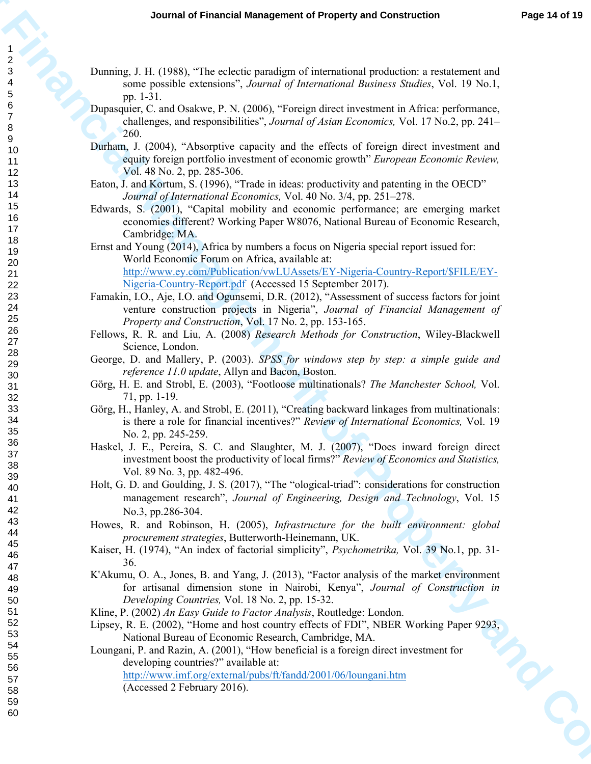- Dunning, J. H. (1988), "The eclectic paradigm of international production: a restatement and some possible extensions", *Journal of International Business Studies*, Vol. 19 No.1, pp. 1-31.
- Dupasquier, C. and Osakwe, P. N. (2006), "Foreign direct investment in Africa: performance, challenges, and responsibilities", *Journal of Asian Economics,* Vol. 17 No.2, pp. 241– 260.
- Durham, J. (2004), "Absorptive capacity and the effects of foreign direct investment and equity foreign portfolio investment of economic growth" *European Economic Review,*  Vol. 48 No. 2, pp. 285-306.
- Eaton, J. and Kortum, S. (1996), "Trade in ideas: productivity and patenting in the OECD" *Journal of International Economics,* Vol. 40 No. 3/4, pp. 251–278.
- Edwards, S. (2001), "Capital mobility and economic performance; are emerging market economies different? Working Paper W8076, National Bureau of Economic Research, Cambridge: MA.
- **Journal of Financial Management of Property and Construction<br>
<b>Journal of The Construction**<br> **Journal of The Construction**<br> **Download Construction**<br> **Journal of Construction**<br> **Journal of Construction**<br> **Download Constru** Ernst and Young (2014), Africa by numbers a focus on Nigeria special report issued for: World Economic Forum on Africa, available at: http://www.ey.com/Publication/vwLUAssets/EY-Nigeria-Country-Report/\$FILE/EY-Nigeria-Country-Report.pdf (Accessed 15 September 2017).
	- Famakin, I.O., Aje, I.O. and Ogunsemi, D.R. (2012), "Assessment of success factors for joint venture construction projects in Nigeria", *Journal of Financial Management of Property and Construction*, Vol. 17 No. 2, pp. 153-165.
	- Fellows, R. R. and Liu, A. (2008) *Research Methods for Construction*, Wiley-Blackwell Science, London.
	- George, D. and Mallery, P. (2003). *SPSS for windows step by step: a simple guide and reference 11.0 update*, Allyn and Bacon, Boston.
	- Görg, H. E. and Strobl, E. (2003), "Footloose multinationals? *The Manchester School,* Vol. 71, pp. 1-19.
	- Görg, H., Hanley, A. and Strobl, E. (2011), "Creating backward linkages from multinationals: is there a role for financial incentives?" *Review of International Economics,* Vol. 19 No. 2, pp. 245-259.
	- Haskel, J. E., Pereira, S. C. and Slaughter, M. J. (2007), "Does inward foreign direct investment boost the productivity of local firms?" *Review of Economics and Statistics,*  Vol. 89 No. 3, pp. 482-496.
	- Holt, G. D. and Goulding, J. S. (2017), "The "ological-triad": considerations for construction management research", *Journal of Engineering, Design and Technology*, Vol. 15 No.3, pp.286-304.
	- Howes, R. and Robinson, H. (2005), *Infrastructure for the built environment: global procurement strategies*, Butterworth-Heinemann, UK.
	- Kaiser, H. (1974), "An index of factorial simplicity", *Psychometrika,* Vol. 39 No.1, pp. 31- 36.
	- K'Akumu, O. A., Jones, B. and Yang, J. (2013), "Factor analysis of the market environment for artisanal dimension stone in Nairobi, Kenya", *Journal of Construction in Developing Countries,* Vol. 18 No. 2, pp. 15-32.
	- Kline, P. (2002) *An Easy Guide to Factor Analysis*, Routledge: London.
	- National Bureau of Economic Research, Cambridge, MA.
	- Lipsey, R. E. (2002), "Home and host country effects of FDI", NBER Working Paper 9293,<br>
	National Bureau of Economic Research, Cambridge, MA.<br>
	Loungani, P. and Razin, A. (2001), "How beneficial is a foreign direct investmen Loungani, P. and Razin, A. (2001), "How beneficial is a foreign direct investment for developing countries?" available at: http://www.imf.org/external/pubs/ft/fandd/2001/06/loungani.htm
		- (Accessed 2 February 2016).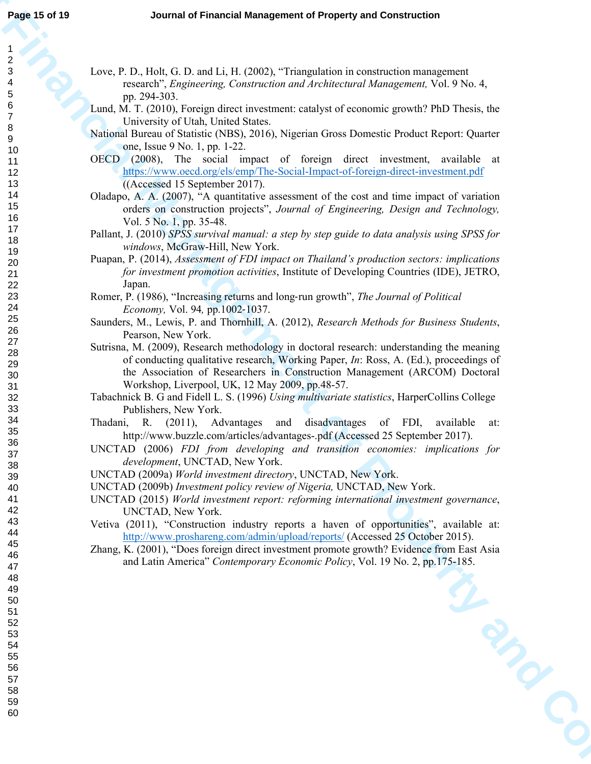- Love, P. D., Holt, G. D. and Li, H. (2002), "Triangulation in construction management research", *Engineering, Construction and Architectural Management,* Vol. 9 No. 4, pp. 294-303.
- Lund, M. T. (2010), Foreign direct investment: catalyst of economic growth? PhD Thesis, the University of Utah, United States.
- National Bureau of Statistic (NBS), 2016), Nigerian Gross Domestic Product Report: Quarter one, Issue 9 No. 1, pp. 1-22.
- OECD (2008), The social impact of foreign direct investment, available at https://www.oecd.org/els/emp/The-Social-Impact-of-foreign-direct-investment.pdf ((Accessed 15 September 2017).
- Oladapo, A. A. (2007), "A quantitative assessment of the cost and time impact of variation orders on construction projects", *Journal of Engineering, Design and Technology,*  Vol. 5 No. 1, pp. 35-48.
- Pallant, J. (2010) *SPSS survival manual: a step by step guide to data analysis using SPSS for windows*, McGraw-Hill, New York.
- Puapan, P. (2014), *Assessment of FDI impact on Thailand's production sectors: implications for investment promotion activities*, Institute of Developing Countries (IDE), JETRO, Japan.
- Romer, P. (1986), "Increasing returns and long‐run growth", *The Journal of Political Economy,* Vol. 94*,* pp.1002‐1037.
- Saunders, M., Lewis, P. and Thornhill, A. (2012), *Research Methods for Business Students*, Pearson, New York.
- Sutrisna, M. (2009), Research methodology in doctoral research: understanding the meaning of conducting qualitative research, Working Paper, *In*: Ross, A. (Ed.), proceedings of the Association of Researchers in Construction Management (ARCOM) Doctoral Workshop, Liverpool, UK, 12 May 2009, pp.48-57.
- Tabachnick B. G and Fidell L. S. (1996) *Using multivariate statistics*, HarperCollins College Publishers, New York.
- Thadani, R. (2011), Advantages and disadvantages of FDI, available at: http://www.buzzle.com/articles/advantages-.pdf (Accessed 25 September 2017).
- UNCTAD (2006) *FDI from developing and transition economies: implications for development*, UNCTAD, New York.
- UNCTAD (2009a) *World investment directory*, UNCTAD, New York.
- UNCTAD (2009b) *Investment policy review of Nigeria,* UNCTAD, New York.
- UNCTAD (2015) *World investment report: reforming international investment governance*, UNCTAD, New York.
- Vetiva (2011), "Construction industry reports a haven of opportunities", available at: http://www.proshareng.com/admin/upload/reports/ (Accessed 25 October 2015).
- Zhang, K. (2001), "Does foreign direct investment promote growth? Evidence from East Asia and Latin America" *Contemporary Economic Policy*, Vol. 19 No. 2, pp.175-185.

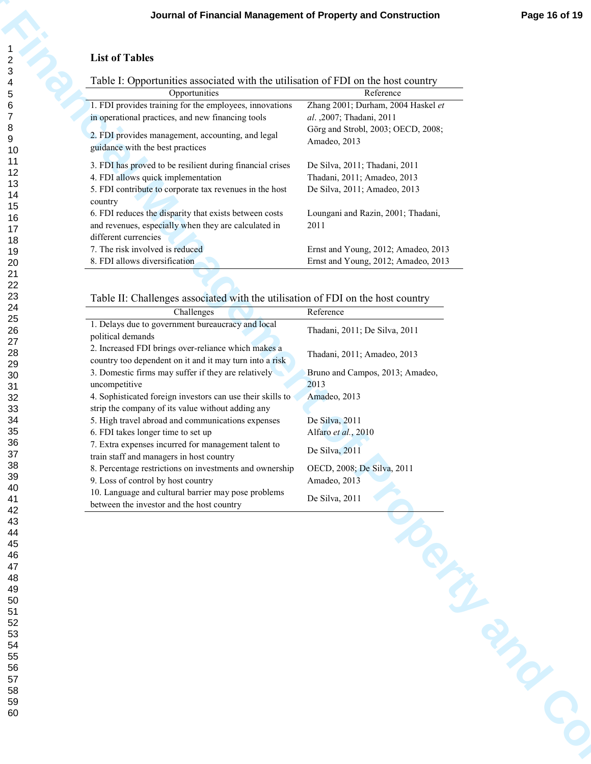### **List of Tables**

| Opportunities                                                                         | Reference                                          |
|---------------------------------------------------------------------------------------|----------------------------------------------------|
| 1. FDI provides training for the employees, innovations                               | Zhang 2001; Durham, 2004 Haskel et                 |
| in operational practices, and new financing tools                                     | al. 2007; Thadani, 2011                            |
| 2. FDI provides management, accounting, and legal<br>guidance with the best practices | Görg and Strobl, 2003; OECD, 2008;<br>Amadeo, 2013 |
| 3. FDI has proved to be resilient during financial crises                             | De Silva, 2011; Thadani, 2011                      |
| 4. FDI allows quick implementation                                                    | Thadani, 2011; Amadeo, 2013                        |
| 5. FDI contribute to corporate tax revenues in the host                               | De Silva, 2011; Amadeo, 2013                       |
| country                                                                               |                                                    |
| 6. FDI reduces the disparity that exists between costs                                | Loungani and Razin, 2001; Thadani,                 |
| and revenues, especially when they are calculated in                                  | 2011                                               |
| different currencies                                                                  |                                                    |
| 7. The risk involved is reduced                                                       | Ernst and Young, 2012; Amadeo, 2013                |
| 8. FDI allows diversification                                                         | Ernst and Young, 2012; Amadeo, 2013                |

| Journal of Financial Management of Property and Construction                                                    |                                                                            |
|-----------------------------------------------------------------------------------------------------------------|----------------------------------------------------------------------------|
| <b>List of Tables</b>                                                                                           |                                                                            |
| Table I: Opportunities associated with the utilisation of FDI on the host country<br>Opportunities              | Reference                                                                  |
| 1. FDI provides training for the employees, innovations<br>in operational practices, and new financing tools    | Zhang 2001; Durham, 2004 Haskel et<br>al. ,2007; Thadani, 2011             |
| 2. FDI provides management, accounting, and legal<br>guidance with the best practices                           | Görg and Strobl, 2003; OECD, 2008;<br>Amadeo, 2013                         |
| 3. FDI has proved to be resilient during financial crises                                                       | De Silva, 2011; Thadani, 2011                                              |
| 4. FDI allows quick implementation<br>5. FDI contribute to corporate tax revenues in the host                   | Thadani, 2011; Amadeo, 2013<br>De Silva, 2011; Amadeo, 2013                |
| country<br>6. FDI reduces the disparity that exists between costs                                               | Loungani and Razin, 2001; Thadani,                                         |
| and revenues, especially when they are calculated in<br>different currencies                                    | 2011                                                                       |
| 7. The risk involved is reduced<br>8. FDI allows diversification                                                | Ernst and Young, 2012; Amadeo, 2013<br>Ernst and Young, 2012; Amadeo, 2013 |
|                                                                                                                 |                                                                            |
| Table II: Challenges associated with the utilisation of FDI on the host country<br>Challenges                   | Reference                                                                  |
| 1. Delays due to government bureaucracy and local<br>political demands                                          | Thadani, 2011; De Silva, 2011                                              |
| 2. Increased FDI brings over-reliance which makes a<br>country too dependent on it and it may turn into a risk  | Thadani, 2011; Amadeo, 2013                                                |
| 3. Domestic firms may suffer if they are relatively<br>uncompetitive                                            | Bruno and Campos, 2013; Amadeo,<br>2013                                    |
| 4. Sophisticated foreign investors can use their skills to<br>strip the company of its value without adding any | Amadeo, 2013                                                               |
| 5. High travel abroad and communications expenses                                                               | De Silva, 2011                                                             |
| 6. FDI takes longer time to set up<br>7. Extra expenses incurred for management talent to                       | Alfaro et al., 2010<br>De Silva, 2011                                      |
| train staff and managers in host country<br>8. Percentage restrictions on investments and ownership             | OECD, 2008; De Silva, 2011                                                 |
| 9. Loss of control by host country<br>10. Language and cultural barrier may pose problems                       | Amadeo, 2013<br>De Silva, 2011                                             |
| between the investor and the host country                                                                       |                                                                            |
|                                                                                                                 |                                                                            |
|                                                                                                                 |                                                                            |
|                                                                                                                 |                                                                            |
|                                                                                                                 |                                                                            |
|                                                                                                                 |                                                                            |
|                                                                                                                 |                                                                            |
|                                                                                                                 | TONIA BIND                                                                 |
|                                                                                                                 |                                                                            |
|                                                                                                                 |                                                                            |
|                                                                                                                 |                                                                            |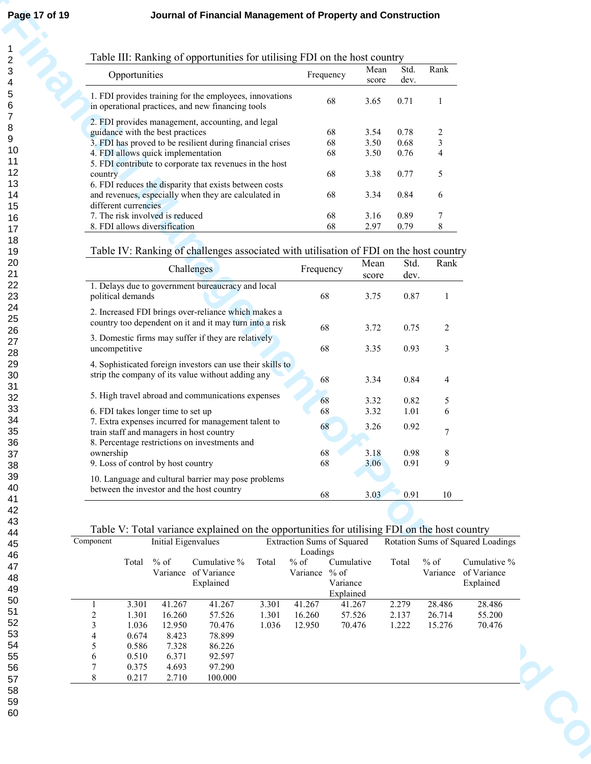#### Table III: Ranking of opportunities for utilising FDI on the host country

| Opportunities                                                                                                | Frequency | Mean<br>score | Std.<br>dev. | Rank |
|--------------------------------------------------------------------------------------------------------------|-----------|---------------|--------------|------|
| 1. FDI provides training for the employees, innovations<br>in operational practices, and new financing tools | 68        | 3.65          | 0.71         |      |
| 2. FDI provides management, accounting, and legal<br>guidance with the best practices                        | 68        | 3.54          | 0.78         | 2    |
| 3. FDI has proved to be resilient during financial crises                                                    | 68        | 3.50          | 0.68         | 3    |
| 4. FDI allows quick implementation                                                                           | 68        | 3.50          | 0.76         | 4    |
| 5. FDI contribute to corporate tax revenues in the host                                                      |           |               |              |      |
| country.                                                                                                     | 68        | 3.38          | 0.77         | 5    |
| 6. FDI reduces the disparity that exists between costs                                                       |           |               |              |      |
| and revenues, especially when they are calculated in                                                         | 68        | 3.34          | 0.84         | 6    |
| different currencies                                                                                         |           |               |              |      |
| 7. The risk involved is reduced                                                                              | 68        | 3.16          | 0.89         |      |
| 8. FDI allows diversification                                                                                | 68        | 2.97          | 0.79         | 8    |

# Table IV: Ranking of challenges associated with utilisation of FDI on the host country

| Page 17 of 19 |                                                                                                                |                            | Journal of Financial Management of Property and Construction |                |                                               |                       |                  |                |                               |                                      |
|---------------|----------------------------------------------------------------------------------------------------------------|----------------------------|--------------------------------------------------------------|----------------|-----------------------------------------------|-----------------------|------------------|----------------|-------------------------------|--------------------------------------|
|               | Table III: Ranking of opportunities for utilising FDI on the host country<br>Opportunities                     |                            |                                                              |                |                                               | Frequency             | Mean             | Std.           | Rank                          |                                      |
|               | 1. FDI provides training for the employees, innovations                                                        |                            |                                                              |                |                                               | 68                    | score<br>3.65    | dev.<br>0.71   |                               |                                      |
|               | in operational practices, and new financing tools<br>2. FDI provides management, accounting, and legal         |                            |                                                              |                |                                               |                       |                  |                |                               |                                      |
|               | guidance with the best practices                                                                               |                            |                                                              |                |                                               | 68                    | 3.54             | 0.78           | 2                             |                                      |
|               | 3. FDI has proved to be resilient during financial crises<br>4. FDI allows quick implementation                |                            |                                                              |                |                                               | 68<br>68              | 3.50<br>3.50     | 0.68<br>0.76   | 3<br>$\overline{\mathcal{A}}$ |                                      |
|               | 5. FDI contribute to corporate tax revenues in the host<br>country                                             |                            |                                                              |                |                                               | 68                    | 3.38             | 0.77           | 5                             |                                      |
|               | 6. FDI reduces the disparity that exists between costs<br>and revenues, especially when they are calculated in |                            |                                                              |                |                                               | 68                    | 3.34             | 0.84           | 6                             |                                      |
|               | different currencies                                                                                           |                            |                                                              |                |                                               |                       |                  |                |                               |                                      |
|               | 7. The risk involved is reduced<br>8. FDI allows diversification                                               |                            |                                                              |                |                                               | 68<br>68              | 3.16<br>2.97     | 0.89<br>0.79   | 8                             |                                      |
|               | Table IV: Ranking of challenges associated with utilisation of FDI on the host country                         |                            |                                                              |                |                                               |                       |                  |                |                               |                                      |
|               |                                                                                                                |                            | Challenges                                                   |                | Frequency                                     |                       | Mean             | Std.           | Rank                          |                                      |
|               | 1. Delays due to government bureaucracy and local                                                              |                            |                                                              |                |                                               |                       | score            | dev.           |                               |                                      |
|               | political demands                                                                                              |                            |                                                              |                |                                               | 68                    | 3.75             | 0.87           |                               |                                      |
|               | 2. Increased FDI brings over-reliance which makes a<br>country too dependent on it and it may turn into a risk |                            |                                                              |                |                                               | 68                    | 3.72             | 0.75           | $\overline{2}$                |                                      |
|               | 3. Domestic firms may suffer if they are relatively                                                            |                            |                                                              |                |                                               |                       |                  |                |                               |                                      |
|               | uncompetitive<br>4. Sophisticated foreign investors can use their skills to                                    |                            |                                                              |                |                                               | 68                    | 3.35             | 0.93           | 3                             |                                      |
|               | strip the company of its value without adding any                                                              |                            |                                                              |                |                                               | 68                    | 3.34             | 0.84           | $\overline{4}$                |                                      |
|               | 5. High travel abroad and communications expenses                                                              |                            |                                                              |                |                                               | 68                    | 3.32             | 0.82           | 5                             |                                      |
|               | 6. FDI takes longer time to set up                                                                             |                            |                                                              |                |                                               | 68                    | 3.32             | 1.01           | $\boldsymbol{6}$              |                                      |
|               | 7. Extra expenses incurred for management talent to<br>train staff and managers in host country                |                            |                                                              |                |                                               | 68                    | 3.26             | 0.92           | $\overline{7}$                |                                      |
|               | 8. Percentage restrictions on investments and<br>ownership                                                     |                            |                                                              |                |                                               | 68                    | 3.18             | 0.98           | 8                             |                                      |
|               | 9. Loss of control by host country                                                                             |                            |                                                              |                |                                               | 68                    | 3.06             | 0.91           | 9                             |                                      |
|               | 10. Language and cultural barrier may pose problems<br>between the investor and the host country               |                            |                                                              |                |                                               | 68                    | 3.03             | 0.91           | 10                            |                                      |
|               |                                                                                                                |                            |                                                              |                |                                               |                       |                  |                |                               |                                      |
|               | Table V: Total variance explained on the opportunities for utilising FDI on the host country                   |                            |                                                              |                |                                               |                       |                  |                |                               |                                      |
|               | Component                                                                                                      | <b>Initial Eigenvalues</b> |                                                              |                | <b>Extraction Sums of Squared</b><br>Loadings |                       |                  |                |                               | Rotation Sums of Squared Loadings    |
|               | Total                                                                                                          | $%$ of                     | Cumulative %<br>Variance of Variance                         | Total          | $%$ of<br>Variance % of                       | Cumulative            |                  | Total          | $%$ of                        | Cumulative %<br>Variance of Variance |
|               |                                                                                                                |                            | Explained                                                    |                |                                               | Variance<br>Explained |                  |                |                               | Explained                            |
|               | 3.301<br>$\overline{2}$<br>1.301                                                                               | 41.267<br>16.260           | 41.267<br>57.526                                             | 3.301<br>1.301 | 41.267<br>16.260                              |                       | 41.267<br>57.526 | 2.279<br>2.137 | 28.486<br>26.714              | 28.486<br>55.200                     |
|               | 3<br>1.036                                                                                                     | 12.950                     | 70.476                                                       | 1.036          | 12.950                                        |                       | 70.476           | 1.222          | 15.276                        | 70.476                               |
|               | 0.674<br>0.586<br>.5                                                                                           | 8.423<br>7.328             | 78.899<br>86.226                                             |                |                                               |                       |                  |                |                               |                                      |
|               | 0.510<br>6<br>0.375                                                                                            | 6.371<br>4.693             | 92.597<br>97.290                                             |                |                                               |                       |                  |                |                               |                                      |
|               | 8<br>0.217                                                                                                     | 2.710                      | 100.000                                                      |                |                                               |                       |                  |                |                               |                                      |

### Table V: Total variance explained on the opportunities for utilising FDI on the host country

|                |       |                     |              |       |          |                                   | ັ     |          |                                   |
|----------------|-------|---------------------|--------------|-------|----------|-----------------------------------|-------|----------|-----------------------------------|
| Component      |       | Initial Eigenvalues |              |       |          | <b>Extraction Sums of Squared</b> |       |          | Rotation Sums of Squared Loadings |
|                |       |                     |              |       | Loadings |                                   |       |          |                                   |
|                | Total | $%$ of              | Cumulative % | Total | % of     | Cumulative                        | Total | % of     | Cumulative %                      |
|                |       | Variance            | of Variance  |       | Variance | $%$ of                            |       | Variance | of Variance                       |
|                |       |                     | Explained    |       |          | Variance                          |       |          | Explained                         |
|                |       |                     |              |       |          | Explained                         |       |          |                                   |
|                | 3.301 | 41.267              | 41.267       | 3.301 | 41.267   | 41.267                            | 2.279 | 28.486   | 28.486                            |
| 2              | 1.301 | 16.260              | 57.526       | 1.301 | 16.260   | 57.526                            | 2.137 | 26.714   | 55.200                            |
| 3              | 1.036 | 12.950              | 70.476       | 1.036 | 12.950   | 70.476                            | 1.222 | 15.276   | 70.476                            |
| $\overline{4}$ | 0.674 | 8.423               | 78.899       |       |          |                                   |       |          |                                   |
| 5              | 0.586 | 7.328               | 86.226       |       |          |                                   |       |          |                                   |
| 6              | 0.510 | 6.371               | 92.597       |       |          |                                   |       |          |                                   |
| 7              | 0.375 | 4.693               | 97.290       |       |          |                                   |       |          |                                   |
| 8              | 0.217 | 2.710               | 100.000      |       |          |                                   |       |          |                                   |
|                |       |                     |              |       |          |                                   |       |          |                                   |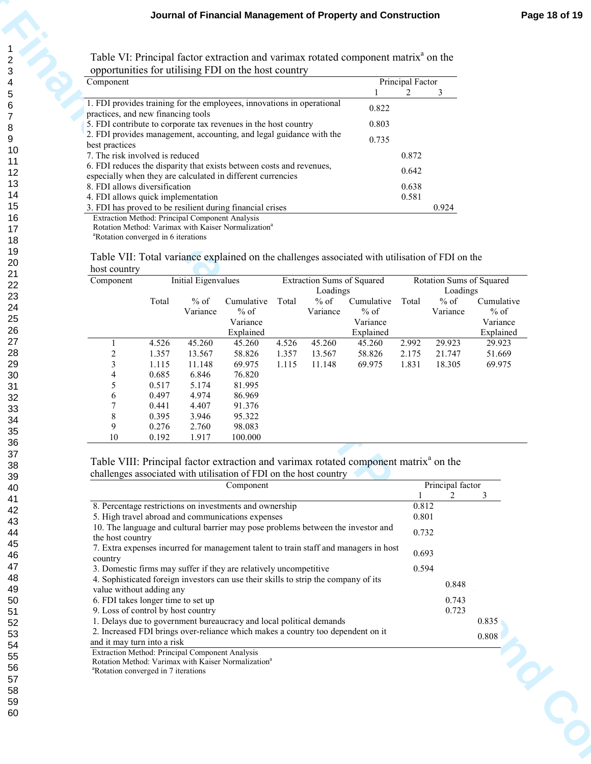| Table VI: Principal factor extraction and varimax rotated component matrix <sup>a</sup> on the |  |
|------------------------------------------------------------------------------------------------|--|
| opportunities for utilising FDI on the host country                                            |  |

| Component                                                                                                                           |       | Principal Factor |       |
|-------------------------------------------------------------------------------------------------------------------------------------|-------|------------------|-------|
|                                                                                                                                     |       |                  |       |
| 1. FDI provides training for the employees, innovations in operational<br>practices, and new financing tools                        | 0.822 |                  |       |
| 5. FDI contribute to corporate tax revenues in the host country                                                                     | 0.803 |                  |       |
| 2. FDI provides management, accounting, and legal guidance with the<br>best practices                                               | 0.735 |                  |       |
| 7. The risk involved is reduced                                                                                                     |       | 0.872            |       |
| 6. FDI reduces the disparity that exists between costs and revenues,<br>especially when they are calculated in different currencies |       | 0.642            |       |
| 8. FDI allows diversification                                                                                                       |       | 0.638            |       |
| 4. FDI allows quick implementation                                                                                                  |       | 0.581            |       |
| 3. FDI has proved to be resilient during financial crises                                                                           |       |                  | 0.924 |

|              | Table VII: Total variance explained on the challenges associated with utilisation of FDI on the |
|--------------|-------------------------------------------------------------------------------------------------|
| host country |                                                                                                 |

| Table VI: Principal factor extraction and varimax rotated component matrix <sup>a</sup> on the                                                                                                                                                         |                                                                                        |                                                                                           |                                                                                                   |                         |                            |                                                                                      |                         |                                      |                                               |
|--------------------------------------------------------------------------------------------------------------------------------------------------------------------------------------------------------------------------------------------------------|----------------------------------------------------------------------------------------|-------------------------------------------------------------------------------------------|---------------------------------------------------------------------------------------------------|-------------------------|----------------------------|--------------------------------------------------------------------------------------|-------------------------|--------------------------------------|-----------------------------------------------|
| opportunities for utilising FDI on the host country<br>Component                                                                                                                                                                                       |                                                                                        |                                                                                           |                                                                                                   |                         |                            |                                                                                      | Principal Factor<br>2   |                                      |                                               |
| 1. FDI provides training for the employees, innovations in operational<br>practices, and new financing tools<br>5. FDI contribute to corporate tax revenues in the host country<br>2. FDI provides management, accounting, and legal guidance with the |                                                                                        |                                                                                           |                                                                                                   |                         |                            | 0.822<br>0.803                                                                       |                         |                                      |                                               |
| best practices<br>7. The risk involved is reduced<br>6. FDI reduces the disparity that exists between costs and revenues,<br>especially when they are calculated in different currencies                                                               |                                                                                        |                                                                                           |                                                                                                   |                         |                            | 0.735                                                                                | 0.872<br>0.642          |                                      |                                               |
| 8. FDI allows diversification<br>4. FDI allows quick implementation<br>3. FDI has proved to be resilient during financial crises<br>Extraction Method: Principal Component Analysis                                                                    |                                                                                        |                                                                                           |                                                                                                   |                         |                            |                                                                                      | 0.638<br>0.581          | 0.924                                |                                               |
| Rotation Method: Varimax with Kaiser Normalization <sup>a</sup><br><sup>a</sup> Rotation converged in 6 iterations<br>Table VII: Total variance explained on the challenges associated with utilisation of FDI on the                                  |                                                                                        |                                                                                           |                                                                                                   |                         |                            |                                                                                      |                         |                                      |                                               |
| host country<br>Component                                                                                                                                                                                                                              |                                                                                        | Initial Eigenvalues                                                                       |                                                                                                   |                         | Loadings                   | <b>Extraction Sums of Squared</b>                                                    |                         | Rotation Sums of Squared<br>Loadings |                                               |
|                                                                                                                                                                                                                                                        | Total                                                                                  | $%$ of<br>Variance                                                                        | Cumulative<br>$%$ of<br>Variance<br>Explained                                                     | Total                   | $%$ of<br>Variance         | Cumulative Total<br>$%$ of<br>Variance<br>Explained                                  |                         | $%$ of<br>Variance                   | Cumulative<br>$%$ of<br>Variance<br>Explained |
| $\overline{2}$<br>3<br>$\overline{4}$<br>5<br>6<br>$\overline{7}$<br>8<br>9<br>10                                                                                                                                                                      | 4.526<br>1.357<br>1.115<br>0.685<br>0.517<br>0.497<br>0.441<br>0.395<br>0.276<br>0.192 | 45.260<br>13.567<br>11.148<br>6.846<br>5.174<br>4.974<br>4.407<br>3.946<br>2.760<br>1.917 | 45.260<br>58.826<br>69.975<br>76.820<br>81.995<br>86.969<br>91.376<br>95.322<br>98.083<br>100.000 | 4.526<br>1.357<br>1.115 | 45.260<br>13.567<br>11.148 | 45.260<br>58.826<br>69.975                                                           | 2.992<br>2.175<br>1.831 | 29.923<br>21.747<br>18.305           | 29.923<br>51.669<br>69.975                    |
| Table VIII: Principal factor extraction and varimax rotated component matrix <sup>a</sup> on the<br>challenges associated with utilisation of FDI on the host country                                                                                  |                                                                                        |                                                                                           |                                                                                                   |                         |                            |                                                                                      |                         |                                      |                                               |
| 8. Percentage restrictions on investments and ownership<br>5. High travel abroad and communications expenses<br>the host country                                                                                                                       |                                                                                        |                                                                                           | Component                                                                                         |                         |                            | 10. The language and cultural barrier may pose problems between the investor and     | 0.812<br>0.801<br>0.732 | Principal factor<br>2                | 3                                             |
| country<br>3. Domestic firms may suffer if they are relatively uncompetitive<br>4. Sophisticated foreign investors can use their skills to strip the company of its                                                                                    |                                                                                        |                                                                                           |                                                                                                   |                         |                            |                                                                                      | 0.693<br>0.594          | 0.848                                |                                               |
| 6. FDI takes longer time to set up<br>9. Loss of control by host country<br>1. Delays due to government bureaucracy and local political demands                                                                                                        |                                                                                        |                                                                                           |                                                                                                   |                         |                            |                                                                                      |                         | 0.743<br>0.723                       | 0.835                                         |
| and it may turn into a risk<br><b>Extraction Method: Principal Component Analysis</b><br>Rotation Method: Varimax with Kaiser Normalization <sup>a</sup><br><sup>a</sup> Rotation converged in 7 iterations                                            |                                                                                        |                                                                                           |                                                                                                   |                         |                            |                                                                                      |                         |                                      |                                               |
| value without adding any<br>2. Increased FDI brings over-reliance which makes a country too dependent on it                                                                                                                                            |                                                                                        |                                                                                           |                                                                                                   |                         |                            | 7. Extra expenses incurred for management talent to train staff and managers in host |                         |                                      | 0.808                                         |

| Component                                                                                                                                                          |       | Principal factor |       |
|--------------------------------------------------------------------------------------------------------------------------------------------------------------------|-------|------------------|-------|
|                                                                                                                                                                    |       |                  | 3     |
| 8. Percentage restrictions on investments and ownership                                                                                                            | 0.812 |                  |       |
| 5. High travel abroad and communications expenses                                                                                                                  | 0.801 |                  |       |
| 10. The language and cultural barrier may pose problems between the investor and<br>the host country                                                               | 0.732 |                  |       |
| 7. Extra expenses incurred for management talent to train staff and managers in host<br>country                                                                    | 0.693 |                  |       |
| 3. Domestic firms may suffer if they are relatively uncompetitive                                                                                                  | 0.594 |                  |       |
| 4. Sophisticated foreign investors can use their skills to strip the company of its<br>value without adding any                                                    |       | 0.848            |       |
| 6. FDI takes longer time to set up                                                                                                                                 |       | 0.743            |       |
| 9. Loss of control by host country                                                                                                                                 |       | 0.723            |       |
| 1. Delays due to government bureaucracy and local political demands                                                                                                |       |                  | 0.835 |
| 2. Increased FDI brings over-reliance which makes a country too dependent on it<br>and it may turn into a risk<br>Extra stiga Mathadi Dringinal Component Anglesia |       |                  | 0.808 |